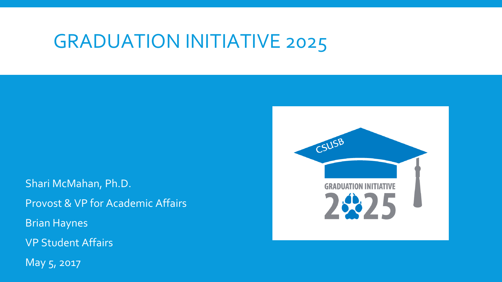# GRADUATION INITIATIVE 2025

Shari McMahan, Ph.D. Provost & VP for Academic Affairs Brian Haynes VP Student Affairs May 5, 2017

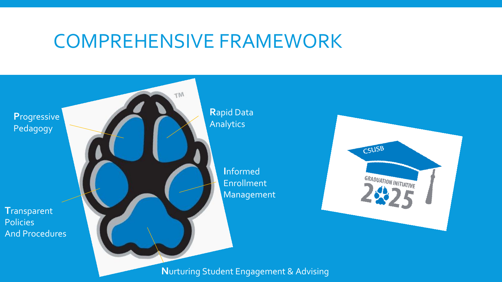## COMPREHENSIVE FRAMEWORK



**N**urturing Student Engagement & Advising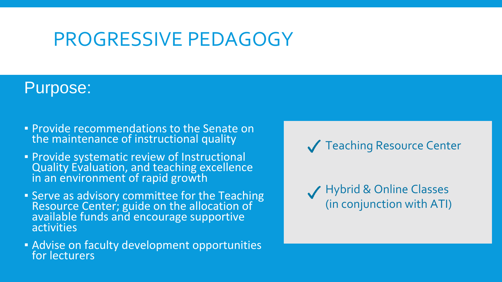# PROGRESSIVE PEDAGOGY

### Purpose:

- **. Provide recommendations to the Senate on** the maintenance of instructional quality
- **Provide systematic review of Instructional** Quality Evaluation, and teaching excellence in an environment of rapid growth
- **EXECT:** Serve as advisory committee for the Teaching Resource Center; guide on the allocation of available funds and encourage supportive **activities**
- **EXEC** 12 Advise on faculty development opportunities for lecturers

**V** Teaching Resource Center

Hybrid & Online Classes (in conjunction with ATI)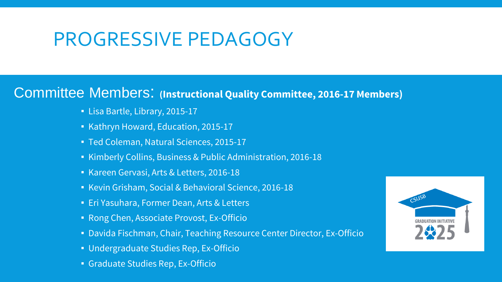# PROGRESSIVE PEDAGOGY

#### Committee Members: **(Instructional Quality Committee, 2016-17 Members)**

- Lisa Bartle, Library, 2015-17
- Kathryn Howard, Education, 2015-17
- Ted Coleman, Natural Sciences, 2015-17
- Kimberly Collins, Business & Public Administration, 2016-18
- Kareen Gervasi, Arts & Letters, 2016-18
- Kevin Grisham, Social & Behavioral Science, 2016-18
- **Eri Yasuhara, Former Dean, Arts & Letters**
- Rong Chen, Associate Provost, Ex-Officio
- Davida Fischman, Chair, Teaching Resource Center Director, Ex-Officio
- Undergraduate Studies Rep, Ex-Officio
- Graduate Studies Rep, Ex-Officio

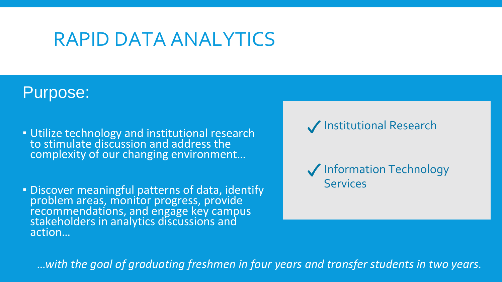# RAPID DATA ANALYTICS

### Purpose:

**Utilize technology and institutional research** to stimulate discussion and address the complexity of our changing environment…

**EDISCOVER MEANINgful patterns of data, identify** problem areas, monitor progress, provide recommendations, and engage key campus stakeholders in analytics discussions and action…

Institutional Research

**V** Information Technology **Services** 

…*with the goal of graduating freshmen in four years and transfer students in two years.*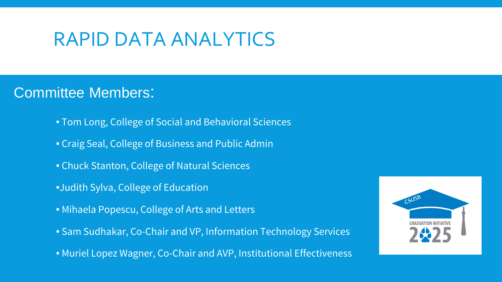# RAPID DATA ANALYTICS

### Committee Members:

- **Tom Long, College of Social and Behavioral Sciences**
- **Craig Seal, College of Business and Public Admin**
- **Example 2** Chuck Stanton, College of Natural Sciences
- **.**Judith Sylva, College of Education
- Mihaela Popescu, College of Arts and Letters
- **Exam Sudhakar, Co-Chair and VP, Information Technology Services**
- **.** Muriel Lopez Wagner, Co-Chair and AVP, Institutional Effectiveness

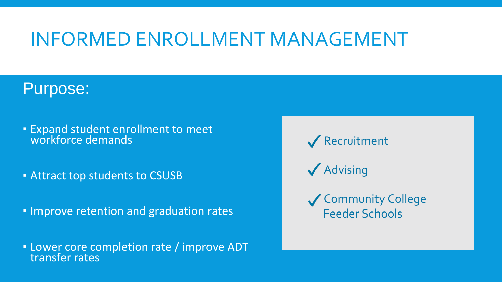# INFORMED ENROLLMENT MANAGEMENT

### Purpose:

- Expand student enrollment to meet workforce demands
- **EXTENT Attract top students to CSUSB**
- **. Improve retention and graduation rates**
- **.** Lower core completion rate / improve ADT transfer rates

**V** Recruitment

- **√** Advising
- Gommunity College Feeder Schools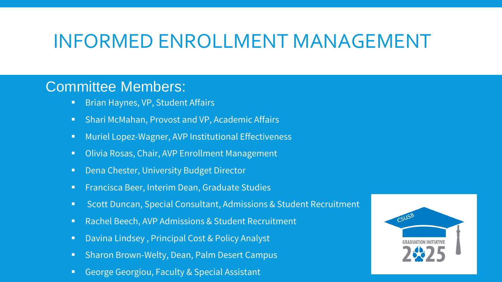## INFORMED ENROLLMENT MANAGEMENT

#### Committee Members:

- **Brian Haynes, VP, Student Affairs**
- Shari McMahan, Provost and VP, Academic Affairs
- **Nuriel Lopez-Wagner, AVP Institutional Effectiveness**
- Olivia Rosas, Chair, AVP Enrollment Management
- Dena Chester, University Budget Director
- **Francisca Beer, Interim Dean, Graduate Studies**
- Scott Duncan, Special Consultant, Admissions & Student Recruitment
- Rachel Beech, AVP Admissions & Student Recruitment
- Davina Lindsey, Principal Cost & Policy Analyst
- **Sharon Brown-Welty, Dean, Palm Desert Campus**
- **George Georgiou, Faculty & Special Assistant**

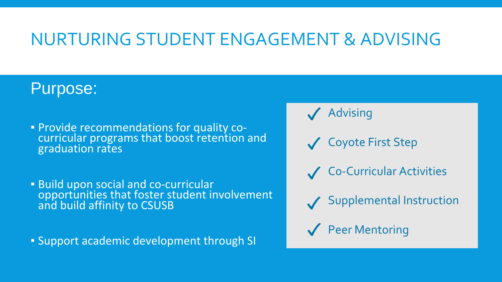## NURTURING STUDENT ENGAGEMENT & ADVISING

## Purpose:

- **Provide recommendations for quality co**curricular programs that boost retention and graduation rates
- **Build upon social and co-curricular** opportunities that foster student involvement and build affinity to CSUSB

▪ Support academic development through SI

**Advising** 

- Coyote First Step
- C0-Curricular Activities
- Supplemental Instruction
- **V** Peer Mentoring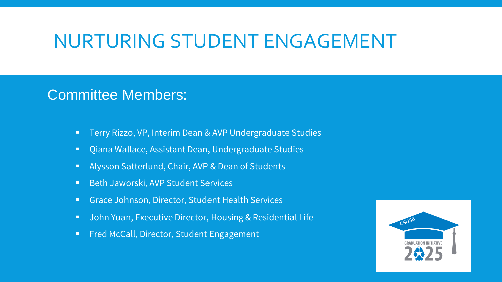## NURTURING STUDENT ENGAGEMENT

#### Committee Members:

- **Terry Rizzo, VP, Interim Dean & AVP Undergraduate Studies**
- Qiana Wallace, Assistant Dean, Undergraduate Studies
- Alysson Satterlund, Chair, AVP & Dean of Students
- Beth Jaworski, AVP Student Services
- **Grace Johnson, Director, Student Health Services**
- **UPER 19 The Video State Executive Director, Housing & Residential Life**
- **Fred McCall, Director, Student Engagement**

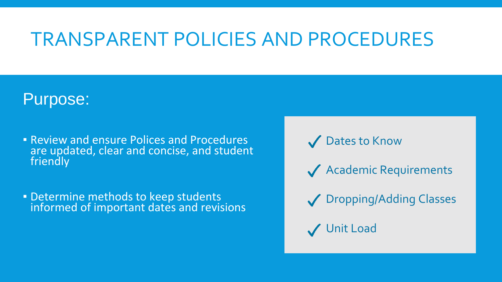# TRANSPARENT POLICIES AND PROCEDURES

### Purpose:

- **Example 1 Review and ensure Polices and Procedures** are updated, clear and concise, and student friendly
- **Determine methods to keep students** informed of important dates and revisions

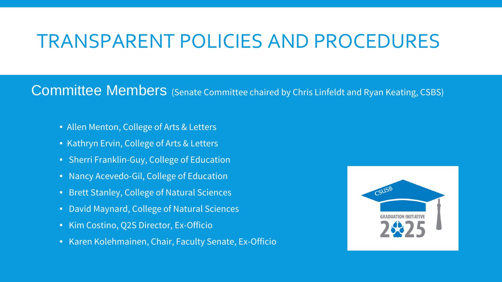# TRANSPARENT POLICIES AND PROCEDURES

Committee Members (Senate Committee chaired by Chris Linfeldt and Ryan Keating, CSBS)

- Allen Menton, College of Arts & Letters
- Kathryn Ervin, College of Arts & Letters
- **Sherri Franklin-Guy, College of Education**
- Nancy Acevedo-Gil, College of Education
- Brett Stanley, College of Natural Sciences
- David Maynard, College of Natural Sciences
- Kim Costino, Q2S Director, Ex-Officio
- Karen Kolehmainen, Chair, Faculty Senate, Ex-Officio

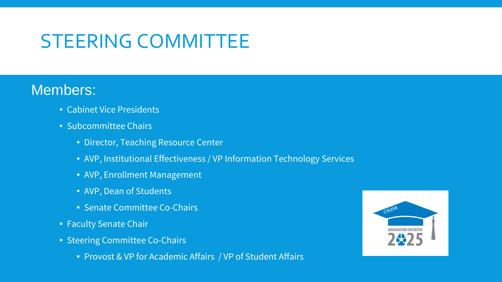# STEERING COMMITTEE

#### Members:

- **Cabinet Vice Presidents**
- Subcommittee Chairs
	- **· Director, Teaching Resource Center**
	- AVP, Institutional Effectiveness / VP Information Technology Services
	- AVP, Enrollment Management
	- AVP, Dean of Students
	- Senate Committee Co-Chairs
- Faculty Senate Chair
- **Steering Committee Co-Chairs** 
	- Provost & VP for Academic Affairs / VP of Student Affairs

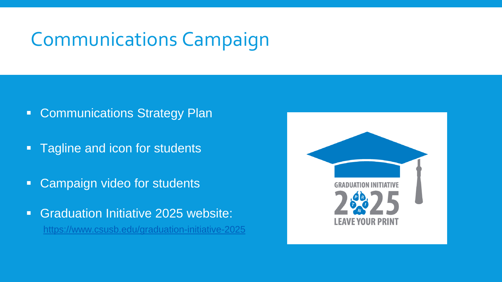# Communications Campaign

- **Communications Strategy Plan**
- Tagline and icon for students
- **Campaign video for students**
- **Graduation Initiative 2025 website:** <https://www.csusb.edu/graduation-initiative-2025>